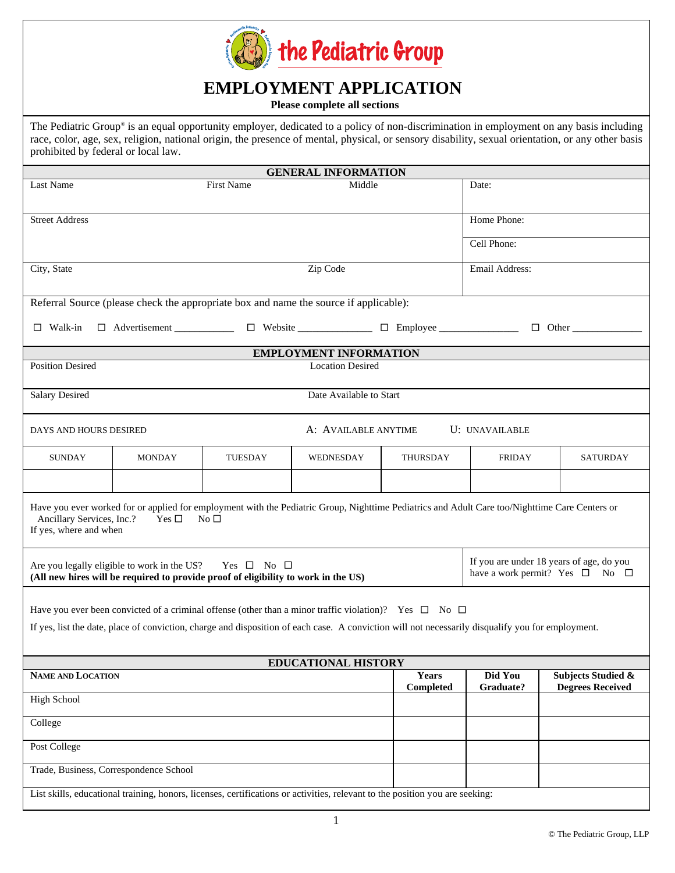

## **EMPLOYMENT APPLICATION**

**Please complete all sections**

The Pediatric Group*®* is an equal opportunity employer, dedicated to a policy of non-discrimination in employment on any basis including race, color, age, sex, religion, national origin, the presence of mental, physical, or sensory disability, sexual orientation, or any other basis prohibited by federal or local law.

| <b>GENERAL INFORMATION</b>                                                                                                                                                                                                                                           |               |                |                               |                           |                                                                                            |                                                          |  |
|----------------------------------------------------------------------------------------------------------------------------------------------------------------------------------------------------------------------------------------------------------------------|---------------|----------------|-------------------------------|---------------------------|--------------------------------------------------------------------------------------------|----------------------------------------------------------|--|
| Last Name                                                                                                                                                                                                                                                            |               | First Name     | Middle                        |                           | Date:                                                                                      |                                                          |  |
| <b>Street Address</b>                                                                                                                                                                                                                                                |               |                |                               |                           | Home Phone:                                                                                |                                                          |  |
|                                                                                                                                                                                                                                                                      |               |                |                               |                           | Cell Phone:                                                                                |                                                          |  |
| City, State                                                                                                                                                                                                                                                          |               |                | Zip Code                      |                           | Email Address:                                                                             |                                                          |  |
| Referral Source (please check the appropriate box and name the source if applicable):                                                                                                                                                                                |               |                |                               |                           |                                                                                            |                                                          |  |
| $\Box$ Advertisement $\Box$ Website $\Box$ Employee $\Box$<br>$\Box$ Walk-in                                                                                                                                                                                         |               |                |                               | $\Box$ Other              |                                                                                            |                                                          |  |
|                                                                                                                                                                                                                                                                      |               |                | <b>EMPLOYMENT INFORMATION</b> |                           |                                                                                            |                                                          |  |
| <b>Position Desired</b><br><b>Location Desired</b>                                                                                                                                                                                                                   |               |                |                               |                           |                                                                                            |                                                          |  |
| Date Available to Start<br><b>Salary Desired</b>                                                                                                                                                                                                                     |               |                |                               |                           |                                                                                            |                                                          |  |
| A: AVAILABLE ANYTIME<br>U: UNAVAILABLE<br>DAYS AND HOURS DESIRED                                                                                                                                                                                                     |               |                |                               |                           |                                                                                            |                                                          |  |
| <b>SUNDAY</b>                                                                                                                                                                                                                                                        | <b>MONDAY</b> | <b>TUESDAY</b> | WEDNESDAY                     | THURSDAY                  | <b>FRIDAY</b>                                                                              | <b>SATURDAY</b>                                          |  |
|                                                                                                                                                                                                                                                                      |               |                |                               |                           |                                                                                            |                                                          |  |
| Have you ever worked for or applied for employment with the Pediatric Group, Nighttime Pediatrics and Adult Care too/Nighttime Care Centers or<br>Ancillary Services, Inc.?<br>No <sub>1</sub><br>Yes $\square$<br>If yes, where and when                            |               |                |                               |                           |                                                                                            |                                                          |  |
| Are you legally eligible to work in the US?<br>Yes $\square$ No $\square$<br>(All new hires will be required to provide proof of eligibility to work in the US)                                                                                                      |               |                |                               |                           | If you are under 18 years of age, do you<br>have a work permit? Yes $\square$ No $\square$ |                                                          |  |
| Have you ever been convicted of a criminal offense (other than a minor traffic violation)? Yes $\Box$ No $\Box$<br>If yes, list the date, place of conviction, charge and disposition of each case. A conviction will not necessarily disqualify you for employment. |               |                |                               |                           |                                                                                            |                                                          |  |
| <b>EDUCATIONAL HISTORY</b>                                                                                                                                                                                                                                           |               |                |                               |                           |                                                                                            |                                                          |  |
| <b>NAME AND LOCATION</b>                                                                                                                                                                                                                                             |               |                |                               | <b>Years</b><br>Completed | Did You<br>Graduate?                                                                       | <b>Subjects Studied &amp;</b><br><b>Degrees Received</b> |  |
| <b>High School</b>                                                                                                                                                                                                                                                   |               |                |                               |                           |                                                                                            |                                                          |  |
| College                                                                                                                                                                                                                                                              |               |                |                               |                           |                                                                                            |                                                          |  |
| Post College                                                                                                                                                                                                                                                         |               |                |                               |                           |                                                                                            |                                                          |  |
| Trade, Business, Correspondence School<br>List skills, educational training, honors, licenses, certifications or activities, relevant to the position you are seeking:                                                                                               |               |                |                               |                           |                                                                                            |                                                          |  |
|                                                                                                                                                                                                                                                                      |               |                |                               |                           |                                                                                            |                                                          |  |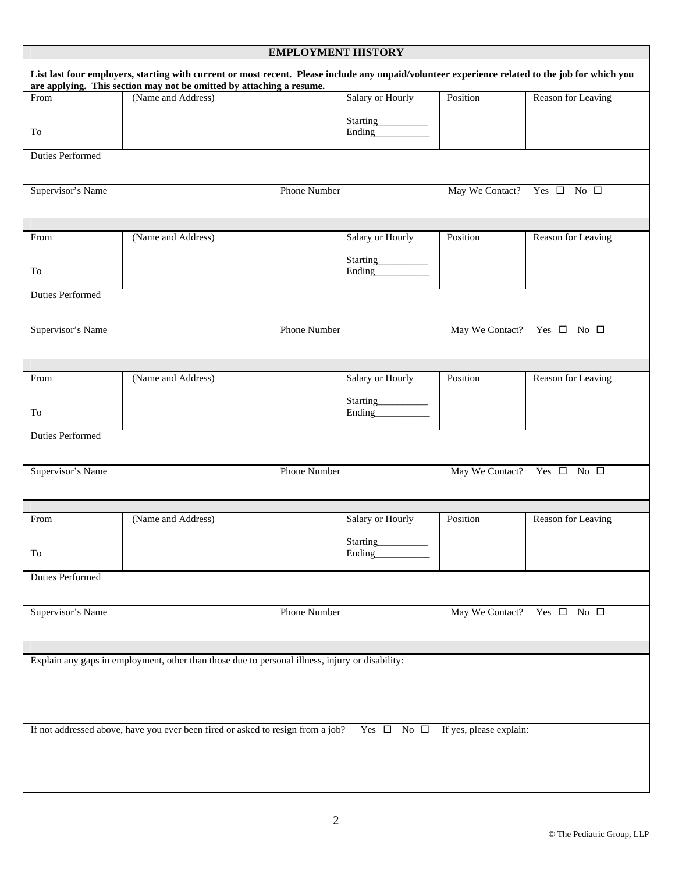| <b>EMPLOYMENT HISTORY</b> |                                                                                                                                                                                                                         |                                                                                                                                                                                                                                                                                                                                                                                                                                                                                                     |                                            |                                            |
|---------------------------|-------------------------------------------------------------------------------------------------------------------------------------------------------------------------------------------------------------------------|-----------------------------------------------------------------------------------------------------------------------------------------------------------------------------------------------------------------------------------------------------------------------------------------------------------------------------------------------------------------------------------------------------------------------------------------------------------------------------------------------------|--------------------------------------------|--------------------------------------------|
|                           | List last four employers, starting with current or most recent. Please include any unpaid/volunteer experience related to the job for which you<br>are applying. This section may not be omitted by attaching a resume. |                                                                                                                                                                                                                                                                                                                                                                                                                                                                                                     |                                            |                                            |
| From                      | (Name and Address)                                                                                                                                                                                                      | Salary or Hourly                                                                                                                                                                                                                                                                                                                                                                                                                                                                                    | Position                                   | Reason for Leaving                         |
| To                        |                                                                                                                                                                                                                         | $\begin{minipage}[c]{0.5\linewidth} \textbf{Starting}\xspace = \textcolor{red}{\textbf{if} \textbf{if} \textbf{if} \textbf{if} } \textbf{if} \textbf{if} \textbf{if} \textbf{if} \textbf{if} \textbf{if} \textbf{if} \textbf{if} \textbf{if} \textbf{if} \textbf{if} \textbf{if} \textbf{if} \textbf{if} \textbf{if} \textbf{if} \textbf{if} \textbf{if} \textbf{if} \textbf{if} \textbf{if} \textbf{if} \textbf{if} \textbf{if} \textbf{if} \textbf{if} \textbf{if} \textbf$<br>Ending____________ |                                            |                                            |
| Duties Performed          |                                                                                                                                                                                                                         |                                                                                                                                                                                                                                                                                                                                                                                                                                                                                                     |                                            |                                            |
|                           |                                                                                                                                                                                                                         |                                                                                                                                                                                                                                                                                                                                                                                                                                                                                                     |                                            |                                            |
| Supervisor's Name         | Phone Number                                                                                                                                                                                                            |                                                                                                                                                                                                                                                                                                                                                                                                                                                                                                     | May We Contact? Yes $\square$ No $\square$ |                                            |
|                           |                                                                                                                                                                                                                         |                                                                                                                                                                                                                                                                                                                                                                                                                                                                                                     |                                            |                                            |
| From                      | (Name and Address)                                                                                                                                                                                                      | Salary or Hourly                                                                                                                                                                                                                                                                                                                                                                                                                                                                                    | Position                                   | Reason for Leaving                         |
| To                        |                                                                                                                                                                                                                         | Starting__________<br>Ending____________                                                                                                                                                                                                                                                                                                                                                                                                                                                            |                                            |                                            |
| Duties Performed          |                                                                                                                                                                                                                         |                                                                                                                                                                                                                                                                                                                                                                                                                                                                                                     |                                            |                                            |
|                           |                                                                                                                                                                                                                         |                                                                                                                                                                                                                                                                                                                                                                                                                                                                                                     |                                            |                                            |
| Supervisor's Name         | <b>Phone Number</b>                                                                                                                                                                                                     |                                                                                                                                                                                                                                                                                                                                                                                                                                                                                                     |                                            | May We Contact? Yes $\square$ No $\square$ |
|                           |                                                                                                                                                                                                                         |                                                                                                                                                                                                                                                                                                                                                                                                                                                                                                     |                                            |                                            |
|                           |                                                                                                                                                                                                                         |                                                                                                                                                                                                                                                                                                                                                                                                                                                                                                     |                                            |                                            |
| From                      | (Name and Address)                                                                                                                                                                                                      | Salary or Hourly                                                                                                                                                                                                                                                                                                                                                                                                                                                                                    | Position                                   | Reason for Leaving                         |
|                           |                                                                                                                                                                                                                         | Starting_________                                                                                                                                                                                                                                                                                                                                                                                                                                                                                   |                                            |                                            |
| To                        |                                                                                                                                                                                                                         | Ending____________                                                                                                                                                                                                                                                                                                                                                                                                                                                                                  |                                            |                                            |
| <b>Duties Performed</b>   |                                                                                                                                                                                                                         |                                                                                                                                                                                                                                                                                                                                                                                                                                                                                                     |                                            |                                            |
|                           |                                                                                                                                                                                                                         |                                                                                                                                                                                                                                                                                                                                                                                                                                                                                                     |                                            |                                            |
| Supervisor's Name         | Phone Number                                                                                                                                                                                                            |                                                                                                                                                                                                                                                                                                                                                                                                                                                                                                     |                                            | May We Contact? Yes $\square$ No $\square$ |
|                           |                                                                                                                                                                                                                         |                                                                                                                                                                                                                                                                                                                                                                                                                                                                                                     |                                            |                                            |
|                           |                                                                                                                                                                                                                         |                                                                                                                                                                                                                                                                                                                                                                                                                                                                                                     |                                            |                                            |
| From                      | (Name and Address)                                                                                                                                                                                                      | Salary or Hourly                                                                                                                                                                                                                                                                                                                                                                                                                                                                                    | Position                                   | Reason for Leaving                         |
|                           |                                                                                                                                                                                                                         | Starting                                                                                                                                                                                                                                                                                                                                                                                                                                                                                            |                                            |                                            |
| To                        |                                                                                                                                                                                                                         | Ending                                                                                                                                                                                                                                                                                                                                                                                                                                                                                              |                                            |                                            |
| <b>Duties Performed</b>   |                                                                                                                                                                                                                         |                                                                                                                                                                                                                                                                                                                                                                                                                                                                                                     |                                            |                                            |
|                           |                                                                                                                                                                                                                         |                                                                                                                                                                                                                                                                                                                                                                                                                                                                                                     |                                            |                                            |
| Supervisor's Name         | <b>Phone Number</b>                                                                                                                                                                                                     |                                                                                                                                                                                                                                                                                                                                                                                                                                                                                                     |                                            | May We Contact? Yes $\square$ No $\square$ |
|                           |                                                                                                                                                                                                                         |                                                                                                                                                                                                                                                                                                                                                                                                                                                                                                     |                                            |                                            |
|                           |                                                                                                                                                                                                                         |                                                                                                                                                                                                                                                                                                                                                                                                                                                                                                     |                                            |                                            |
|                           | Explain any gaps in employment, other than those due to personal illness, injury or disability:                                                                                                                         |                                                                                                                                                                                                                                                                                                                                                                                                                                                                                                     |                                            |                                            |
|                           |                                                                                                                                                                                                                         |                                                                                                                                                                                                                                                                                                                                                                                                                                                                                                     |                                            |                                            |
|                           |                                                                                                                                                                                                                         |                                                                                                                                                                                                                                                                                                                                                                                                                                                                                                     |                                            |                                            |
|                           |                                                                                                                                                                                                                         |                                                                                                                                                                                                                                                                                                                                                                                                                                                                                                     |                                            |                                            |
|                           | If not addressed above, have you ever been fired or asked to resign from a job? Yes $\Box$ No $\Box$ If yes, please explain:                                                                                            |                                                                                                                                                                                                                                                                                                                                                                                                                                                                                                     |                                            |                                            |
|                           |                                                                                                                                                                                                                         |                                                                                                                                                                                                                                                                                                                                                                                                                                                                                                     |                                            |                                            |
|                           |                                                                                                                                                                                                                         |                                                                                                                                                                                                                                                                                                                                                                                                                                                                                                     |                                            |                                            |